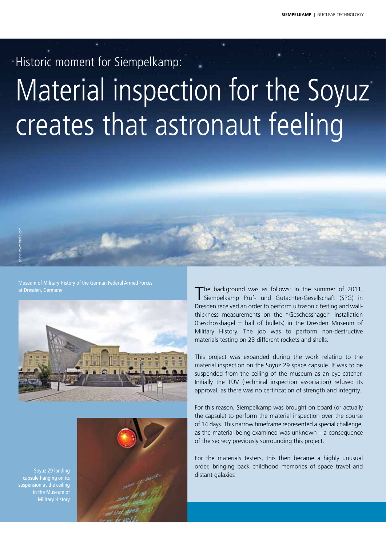Historic moment for Siempelkamp:

# Material inspection for the Soyuz creates that astronaut feeling

Museum of Military History of the German Federal Armed Forces





The background was as follows: In the summer of 2011, Siempelkamp Prüf- und Gutachter-Gesellschaft (SPG) in Dresden received an order to perform ultrasonic testing and wallthickness measurements on the "Geschosshagel" installation (Geschosshagel = hail of bullets) in the Dresden Museum of Military History. The job was to perform non-destructive materials testing on 23 different rockets and shells.

This project was expanded during the work relating to the material inspection on the Soyuz 29 space capsule. It was to be suspended from the ceiling of the museum as an eye-catcher. Initially the TÜV (technical inspection association) refused its approval, as there was no certification of strength and integrity.

For this reason, Siempelkamp was brought on board (or actually the capsule) to perform the material inspection over the course of 14 days. This narrow timeframe represented a special challenge, as the material being examined was unknown – a consequence of the secrecy previously surrounding this project.

For the materials testers, this then became a highly unusual order, bringing back childhood memories of space travel and distant galaxies!

Soyuz 29 landing capsule hanging on its suspension at the ceiling in the Museum of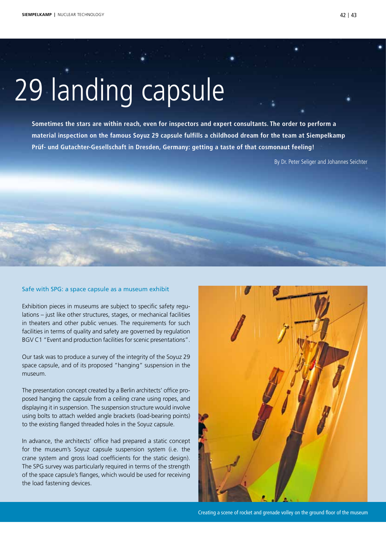# 29 landing capsule

Sometimes the stars are within reach, even for inspectors and expert consultants. The order to perform a **material inspection on the famous Soyuz 29 capsule fulfills a childhood dream for the team at Siempelkamp Prüf- und Gutachter-Gesellschaft in Dresden, Germany: getting a taste of that cosmonaut feeling!**

By Dr. Peter Seliger and Johannes Seichter

#### Safe with SPG: a space capsule as a museum exhibit

Exhibition pieces in museums are subject to specific safety regulations – just like other structures, stages, or mechanical facilities in theaters and other public venues. The requirements for such facilities in terms of quality and safety are governed by regulation BGV C1 "Event and production facilities for scenic presentations".

Our task was to produce a survey of the integrity of the Soyuz 29 space capsule, and of its proposed "hanging" suspension in the museum.

The presentation concept created by a Berlin architects' office proposed hanging the capsule from a ceiling crane using ropes, and displaying it in suspension. The suspension structure would involve using bolts to attach welded angle brackets (load-bearing points) to the existing flanged threaded holes in the Soyuz capsule.

In advance, the architects' office had prepared a static concept for the museum's Soyuz capsule suspension system (i.e. the crane system and gross load coefficients for the static design). The SPG survey was particularly required in terms of the strength of the space capsule's flanges, which would be used for receiving the load fastening devices.



Creating a scene of rocket and grenade volley on the ground floor of the museum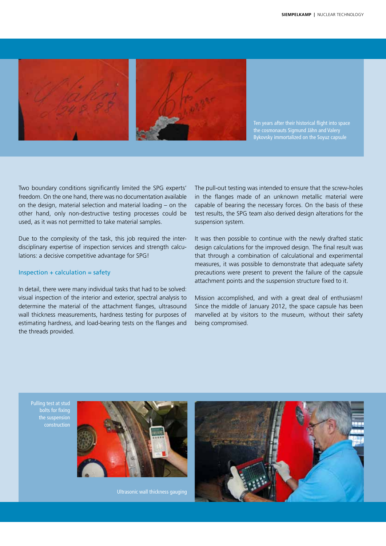

Ten years after their historical flight into space the cosmonauts Sigmund Jähn and Valery Bykovsky immortalized on the Soyuz capsule

Two boundary conditions significantly limited the SPG experts' freedom. On the one hand, there was no documentation available on the design, material selection and material loading – on the other hand, only non-destructive testing processes could be used, as it was not permitted to take material samples.

Due to the complexity of the task, this job required the interdisciplinary expertise of inspection services and strength calculations: a decisive competitive advantage for SPG!

### $Inspection + calculation = safety$

In detail, there were many individual tasks that had to be solved: visual inspection of the interior and exterior, spectral analysis to determine the material of the attachment flanges, ultrasound wall thickness measurements, hardness testing for purposes of estimating hardness, and load-bearing tests on the flanges and the threads provided.

The pull-out testing was intended to ensure that the screw-holes in the flanges made of an unknown metallic material were capable of bearing the necessary forces. On the basis of these test results, the SPG team also derived design alterations for the suspension system.

It was then possible to continue with the newly drafted static design calculations for the improved design. The final result was that through a combination of calculational and experimental measures, it was possible to demonstrate that adequate safety precautions were present to prevent the failure of the capsule attachment points and the suspension structure fixed to it.

Mission accomplished, and with a great deal of enthusiasm! Since the middle of January 2012, the space capsule has been marvelled at by visitors to the museum, without their safety being compromised.

Pulling test at stud bolts for fixing the suspension construction



Ultrasonic wall thickness gauging

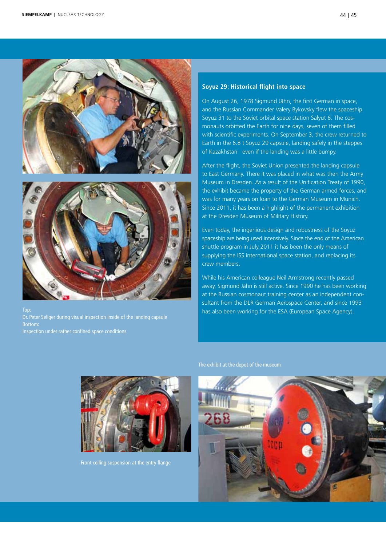



Dr. Peter Seliger during visual inspection inside of the landing capsule Inspection under rather confined space conditions

#### **Soyuz 29: Historical flight into space**

On August 26, 1978 Sigmund Jähn, the first German in space, and the Russian Commander Valery Bykovsky flew the spaceship Soyuz 31 to the Soviet orbital space station Salyut 6. The cosmonauts orbitted the Earth for nine days, seven of them filled with scientific experiments. On September 3, the crew returned to Earth in the 6.8 t Soyuz 29 capsule, landing safely in the steppes of Kazakhstan even if the landing was a little bumpy.

After the flight, the Soviet Union presented the landing capsule to East Germany. There it was placed in what was then the Army Museum in Dresden. As a result of the Unification Treaty of 1990, the exhibit became the property of the German armed forces, and was for many years on loan to the German Museum in Munich. Since 2011, it has been a highlight of the permanent exhibition at the Dresden Museum of Military History.

Even today, the ingenious design and robustness of the Soyuz spaceship are being used intensively. Since the end of the American shuttle program in July 2011 it has been the only means of supplying the ISS international space station, and replacing its crew members.

While his American colleague Neil Armstrong recently passed away, Sigmund Jähn is still active. Since 1990 he has been working at the Russian cosmonaut training center as an independent consultant from the DLR German Aerospace Center, and since 1993 has also been working for the ESA (European Space Agency).



Front ceiling suspension at the entry flange

The exhibit at the depot of the museum

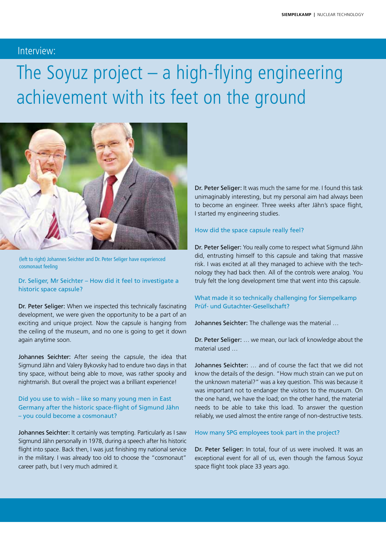# Interview:

# The Soyuz project – a high-flying engineering achievement with its feet on the ground



(left to right) Johannes Seichter and Dr. Peter Seliger have experienced cosmonaut feeling

Dr. Seliger, Mr Seichter – How did it feel to investigate a historic space capsule?

Dr. Peter Seliger: When we inspected this technically fascinating development, we were given the opportunity to be a part of an exciting and unique project. Now the capsule is hanging from the ceiling of the museum, and no one is going to get it down again anytime soon.

Johannes Seichter: After seeing the capsule, the idea that Sigmund Jähn and Valery Bykovsky had to endure two days in that tiny space, without being able to move, was rather spooky and nightmarish. But overall the project was a brilliant experience!

# Did you use to wish – like so many young men in East Germany after the historic space-flight of Sigmund Jähn – you could become a cosmonaut?

Johannes Seichter: It certainly was tempting. Particularly as I saw Sigmund Jähn personally in 1978, during a speech after his historic flight into space. Back then, I was just finishing my national service in the military. I was already too old to choose the "cosmonaut" career path, but I very much admired it.

Dr. Peter Seliger: It was much the same for me. I found this task unimaginably interesting, but my personal aim had always been to become an engineer. Three weeks after Jähn's space flight, I started my engineering studies.

# How did the space capsule really feel?

Dr. Peter Seliger: You really come to respect what Sigmund Jähn did, entrusting himself to this capsule and taking that massive risk. I was excited at all they managed to achieve with the technology they had back then. All of the controls were analog. You truly felt the long development time that went into this capsule.

# What made it so technically challenging for Siempelkamp Prüf- und Gutachter-Gesellschaft?

Johannes Seichter: The challenge was the material …

Dr. Peter Seliger: … we mean, our lack of knowledge about the material used …

Johannes Seichter: … and of course the fact that we did not know the details of the design. "How much strain can we put on the unknown material?" was a key question. This was because it was important not to endanger the visitors to the museum. On the one hand, we have the load; on the other hand, the material needs to be able to take this load. To answer the question reliably, we used almost the entire range of non-destructive tests.

## How many SPG employees took part in the project?

Dr. Peter Seliger: In total, four of us were involved. It was an exceptional event for all of us, even though the famous Soyuz space flight took place 33 years ago.